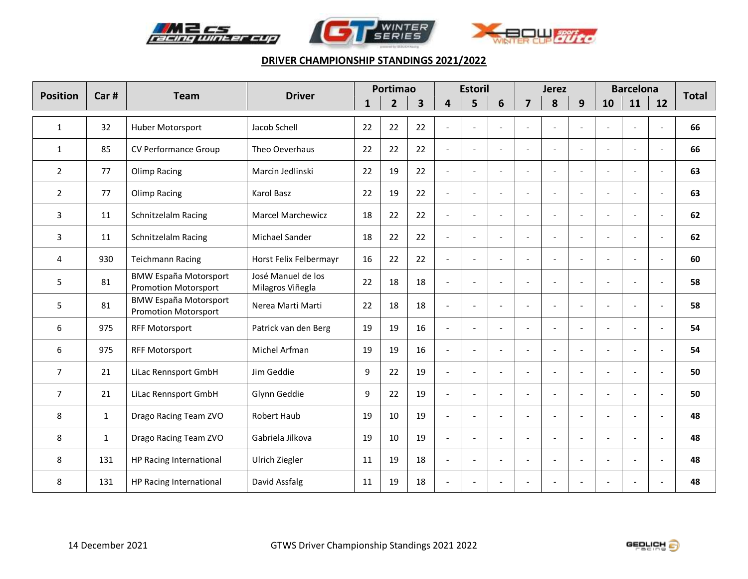





| <b>Position</b> | Car# | <b>Driver</b><br><b>Team</b>                                | Portimao                               |              |                | <b>Estoril</b>          |                          |                          |                          | <b>Jerez</b>   |                          | <b>Barcelona</b>         | <b>Total</b>             |                          |                          |    |
|-----------------|------|-------------------------------------------------------------|----------------------------------------|--------------|----------------|-------------------------|--------------------------|--------------------------|--------------------------|----------------|--------------------------|--------------------------|--------------------------|--------------------------|--------------------------|----|
|                 |      |                                                             |                                        | $\mathbf{1}$ | $\overline{2}$ | $\overline{\mathbf{3}}$ | 4                        | 5                        | 6                        | $\overline{7}$ | 8                        | 9                        | 10                       | 11                       | 12                       |    |
| $\mathbf{1}$    | 32   | Huber Motorsport                                            | Jacob Schell                           | 22           | 22             | 22                      | L.                       | $\overline{a}$           | $\sim$                   | $\overline{a}$ |                          |                          |                          |                          |                          | 66 |
| $\mathbf{1}$    | 85   | CV Performance Group                                        | Theo Oeverhaus                         | 22           | 22             | 22                      | $\overline{a}$           | $\overline{a}$           | $\overline{\phantom{a}}$ | $\blacksquare$ | $\overline{a}$           | $\overline{a}$           | $\overline{a}$           |                          |                          | 66 |
| $\overline{2}$  | 77   | <b>Olimp Racing</b>                                         | Marcin Jedlinski                       | 22           | 19             | 22                      | $\overline{a}$           | $\tilde{\phantom{a}}$    | $\blacksquare$           | $\blacksquare$ | $\overline{a}$           | $\blacksquare$           | $\overline{a}$           |                          | $\blacksquare$           | 63 |
| $\overline{2}$  | 77   | <b>Olimp Racing</b>                                         | Karol Basz                             | 22           | 19             | 22                      | $\overline{a}$           | $\sim$                   | $\blacksquare$           | $\blacksquare$ | $\overline{a}$           | $\blacksquare$           | $\overline{\phantom{a}}$ |                          |                          | 63 |
| 3               | 11   | Schnitzelalm Racing                                         | <b>Marcel Marchewicz</b>               | 18           | 22             | 22                      | $\overline{a}$           | $\sim$                   | $\sim$                   | $\overline{a}$ | $\sim$                   | $\overline{\phantom{a}}$ | ٠                        | $\sim$                   | $\sim$                   | 62 |
| 3               | 11   | Schnitzelalm Racing                                         | Michael Sander                         | 18           | 22             | 22                      | $\blacksquare$           | $\overline{a}$           | $\overline{\phantom{a}}$ | $\blacksquare$ | $\sim$                   | $\overline{\phantom{a}}$ | $\overline{\phantom{a}}$ |                          | $\overline{\phantom{a}}$ | 62 |
| 4               | 930  | <b>Teichmann Racing</b>                                     | Horst Felix Felbermayr                 | 16           | 22             | 22                      | $\blacksquare$           | $\sim$                   | $\overline{\phantom{a}}$ | $\blacksquare$ | $\overline{\phantom{a}}$ | $\overline{\phantom{a}}$ | $\overline{\phantom{a}}$ |                          | $\overline{\phantom{a}}$ | 60 |
| 5               | 81   | <b>BMW España Motorsport</b><br><b>Promotion Motorsport</b> | José Manuel de los<br>Milagros Viñegla | 22           | 18             | 18                      | $\overline{a}$           | $\overline{\phantom{a}}$ | $\sim$                   | $\overline{a}$ | $\overline{a}$           |                          |                          |                          |                          | 58 |
| 5               | 81   | <b>BMW España Motorsport</b><br><b>Promotion Motorsport</b> | Nerea Marti Marti                      | 22           | 18             | 18                      | $\overline{a}$           | $\overline{a}$           |                          | $\overline{a}$ | $\overline{a}$           | $\overline{a}$           |                          |                          |                          | 58 |
| 6               | 975  | <b>RFF Motorsport</b>                                       | Patrick van den Berg                   | 19           | 19             | 16                      | $\blacksquare$           | $\tilde{\phantom{a}}$    | $\overline{\phantom{a}}$ | $\blacksquare$ | $\overline{a}$           | $\overline{\phantom{a}}$ | $\overline{\phantom{0}}$ |                          |                          | 54 |
| 6               | 975  | <b>RFF Motorsport</b>                                       | Michel Arfman                          | 19           | 19             | 16                      | $\blacksquare$           | $\blacksquare$           | $\overline{\phantom{a}}$ | $\blacksquare$ | $\sim$                   | $\overline{a}$           | $\overline{\phantom{a}}$ | $\overline{\phantom{a}}$ |                          | 54 |
| $\overline{7}$  | 21   | LiLac Rennsport GmbH                                        | Jim Geddie                             | 9            | 22             | 19                      | $\overline{a}$           | $\overline{a}$           |                          | $\overline{a}$ |                          | $\sim$                   |                          |                          |                          | 50 |
| 7               | 21   | LiLac Rennsport GmbH                                        | Glynn Geddie                           | 9            | 22             | 19                      | $\overline{a}$           | $\overline{a}$           |                          | $\overline{a}$ |                          | $\overline{a}$           | ÷.                       |                          |                          | 50 |
| 8               | 1    | Drago Racing Team ZVO                                       | <b>Robert Haub</b>                     | 19           | 10             | 19                      | $\overline{a}$           | $\overline{a}$           |                          | ÷              | $\overline{a}$           | $\sim$                   | ٠                        |                          |                          | 48 |
| 8               | 1    | Drago Racing Team ZVO                                       | Gabriela Jilkova                       | 19           | 10             | 19                      | $\overline{a}$           | $\overline{\phantom{a}}$ |                          | $\overline{a}$ |                          | $\sim$                   |                          |                          |                          | 48 |
| 8               | 131  | HP Racing International                                     | Ulrich Ziegler                         | 11           | 19             | 18                      | $\overline{\phantom{a}}$ | $\overline{\phantom{a}}$ |                          | $\overline{a}$ |                          | $\sim$                   |                          |                          |                          | 48 |
| 8               | 131  | HP Racing International                                     | David Assfalg                          | 11           | 19             | 18                      |                          |                          |                          |                |                          |                          |                          |                          |                          | 48 |

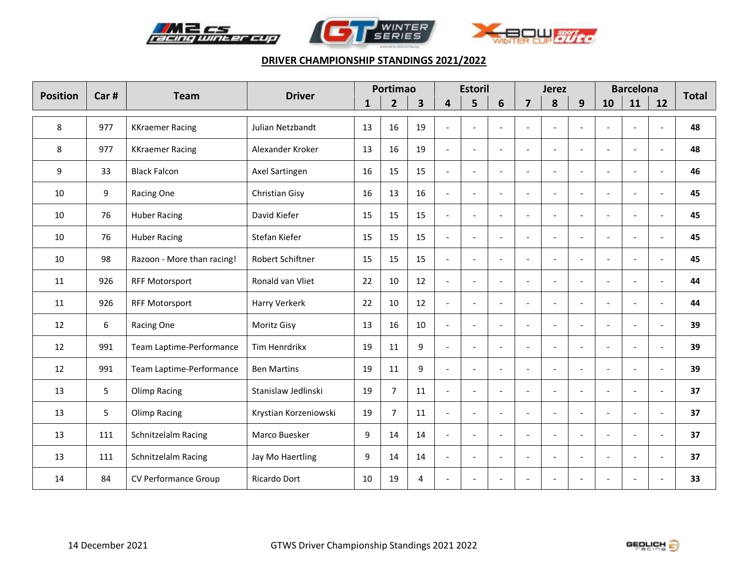





| <b>Position</b> | Car# | <b>Team</b>                | <b>Driver</b>         | Portimao     |                |                         | <b>Estoril</b>           |                |                          | <b>Jerez</b>             |                          |                          | <b>Barcelona</b>         | <b>Total</b>             |                          |    |
|-----------------|------|----------------------------|-----------------------|--------------|----------------|-------------------------|--------------------------|----------------|--------------------------|--------------------------|--------------------------|--------------------------|--------------------------|--------------------------|--------------------------|----|
|                 |      |                            |                       | $\mathbf{1}$ | $\overline{2}$ | $\overline{\mathbf{3}}$ | 4                        | 5              | 6                        | $\overline{7}$           | 8                        | 9                        | 10                       | 11                       | 12                       |    |
| 8               | 977  | <b>KKraemer Racing</b>     | Julian Netzbandt      | 13           | 16             | 19                      |                          | $\overline{a}$ | $\overline{\phantom{a}}$ | $\overline{a}$           |                          |                          |                          |                          |                          | 48 |
| 8               | 977  | <b>KKraemer Racing</b>     | Alexander Kroker      | 13           | 16             | 19                      | $\overline{a}$           | $\overline{a}$ | $\overline{\phantom{a}}$ | $\sim$                   | $\overline{a}$           | $\overline{\phantom{a}}$ | $\overline{a}$           |                          |                          | 48 |
| 9               | 33   | <b>Black Falcon</b>        | Axel Sartingen        | 16           | 15             | 15                      | $\overline{a}$           | $\overline{a}$ | $\blacksquare$           | $\blacksquare$           | $\overline{a}$           | $\overline{\phantom{a}}$ |                          |                          |                          | 46 |
| 10              | 9    | Racing One                 | Christian Gisy        | 16           | 13             | 16                      | $\overline{a}$           | $\sim$         | $\blacksquare$           | $\blacksquare$           | $\overline{a}$           | $\blacksquare$           | $\overline{a}$           |                          |                          | 45 |
| 10              | 76   | <b>Huber Racing</b>        | David Kiefer          | 15           | 15             | 15                      | $\overline{a}$           | $\overline{a}$ | $\overline{a}$           | $\blacksquare$           | $\overline{a}$           | $\overline{a}$           | $\overline{a}$           |                          |                          | 45 |
| 10              | 76   | <b>Huber Racing</b>        | Stefan Kiefer         | 15           | 15             | 15                      | $\overline{a}$           | $\overline{a}$ | $\overline{a}$           | $\blacksquare$           | $\overline{a}$           | $\overline{a}$           | $\overline{a}$           |                          |                          | 45 |
| 10              | 98   | Razoon - More than racing! | Robert Schiftner      | 15           | 15             | 15                      | $\overline{a}$           | $\overline{a}$ | $\blacksquare$           | $\blacksquare$           | $\overline{a}$           | $\overline{\phantom{a}}$ |                          |                          |                          | 45 |
| 11              | 926  | <b>RFF Motorsport</b>      | Ronald van Vliet      | 22           | 10             | 12                      | $\overline{a}$           | $\sim$         | $\blacksquare$           | $\blacksquare$           | $\overline{a}$           | $\overline{\phantom{a}}$ | $\overline{a}$           |                          |                          | 44 |
| 11              | 926  | <b>RFF Motorsport</b>      | Harry Verkerk         | 22           | 10             | 12                      | $\overline{a}$           | $\overline{a}$ | $\overline{a}$           | $\blacksquare$           | $\overline{a}$           | $\overline{a}$           | $\overline{a}$           |                          |                          | 44 |
| 12              | 6    | Racing One                 | Moritz Gisy           | 13           | 16             | 10                      | $\overline{a}$           | $\overline{a}$ | $\overline{a}$           | $\blacksquare$           | $\overline{a}$           | $\overline{a}$           | $\overline{a}$           |                          |                          | 39 |
| 12              | 991  | Team Laptime-Performance   | Tim Henrdrikx         | 19           | 11             | 9                       | $\overline{a}$           | $\overline{a}$ | $\blacksquare$           | $\blacksquare$           | $\overline{a}$           | $\overline{\phantom{a}}$ |                          |                          |                          | 39 |
| 12              | 991  | Team Laptime-Performance   | <b>Ben Martins</b>    | 19           | 11             | 9                       | $\overline{\phantom{a}}$ | $\blacksquare$ | $\blacksquare$           | $\blacksquare$           | $\overline{\phantom{a}}$ | $\blacksquare$           | $\frac{1}{2}$            | $\sim$                   | $\blacksquare$           | 39 |
| 13              | 5    | Olimp Racing               | Stanislaw Jedlinski   | 19           | $\overline{7}$ | 11                      | $\overline{a}$           | $\sim$         | $\overline{\phantom{a}}$ | $\overline{a}$           | $\overline{\phantom{a}}$ | $\overline{\phantom{a}}$ | $\overline{\phantom{a}}$ | $\sim$                   | $\sim$                   | 37 |
| 13              | 5    | <b>Olimp Racing</b>        | Krystian Korzeniowski | 19           | $\overline{7}$ | 11                      | $\overline{a}$           | $\sim$         | $\overline{\phantom{a}}$ | $\blacksquare$           | $\overline{\phantom{a}}$ | $\overline{\phantom{a}}$ | $\overline{\phantom{a}}$ | $\overline{\phantom{a}}$ | $\overline{\phantom{a}}$ | 37 |
| 13              | 111  | Schnitzelalm Racing        | Marco Buesker         | 9            | 14             | 14                      | $\overline{a}$           | $\overline{a}$ | $\overline{\phantom{a}}$ | $\sim$                   | $\overline{a}$           | $\overline{a}$           | $\overline{\phantom{0}}$ | $\sim$                   |                          | 37 |
| 13              | 111  | Schnitzelalm Racing        | Jay Mo Haertling      | 9            | 14             | 14                      | $\overline{a}$           | $\sim$         | $\overline{\phantom{a}}$ | $\overline{a}$           | $\overline{\phantom{a}}$ | $\overline{\phantom{a}}$ | $\overline{\phantom{a}}$ | $\sim$                   |                          | 37 |
| 14              | 84   | CV Performance Group       | Ricardo Dort          | 10           | 19             | 4                       |                          |                |                          | $\overline{\phantom{a}}$ |                          |                          |                          |                          |                          | 33 |

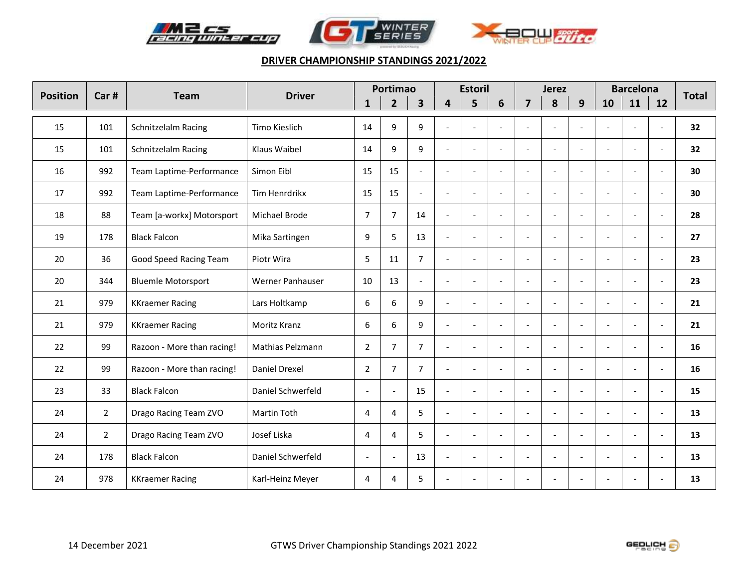





| <b>Position</b> | Car#           | <b>Team</b>                | <b>Driver</b>     | Portimao                 |                |                         | <b>Estoril</b>           |                          |                          | <b>Jerez</b>             |                          |                          |                          | <b>Barcelona</b>         | <b>Total</b>             |    |
|-----------------|----------------|----------------------------|-------------------|--------------------------|----------------|-------------------------|--------------------------|--------------------------|--------------------------|--------------------------|--------------------------|--------------------------|--------------------------|--------------------------|--------------------------|----|
|                 |                |                            |                   | $\mathbf{1}$             | $\overline{2}$ | $\overline{\mathbf{3}}$ | 4                        | 5                        | 6                        | $\overline{7}$           | 8                        | 9                        | 10                       | 11                       | 12                       |    |
| 15              | 101            | Schnitzelalm Racing        | Timo Kieslich     | 14                       | 9              | 9                       | $\overline{a}$           | $\sim$                   | $\blacksquare$           | $\overline{\phantom{a}}$ | $\overline{\phantom{a}}$ | $\sim$                   | $\overline{a}$           |                          | $\blacksquare$           | 32 |
| 15              | 101            | Schnitzelalm Racing        | Klaus Waibel      | 14                       | 9              | 9                       | $\overline{a}$           | $\overline{a}$           | $\overline{\phantom{a}}$ | $\blacksquare$           | $\overline{\phantom{a}}$ | $\overline{\phantom{a}}$ | $\overline{\phantom{a}}$ |                          | $\overline{\phantom{a}}$ | 32 |
| 16              | 992            | Team Laptime-Performance   | Simon Eibl        | 15                       | 15             | $\overline{a}$          | $\overline{\phantom{a}}$ | $\sim$                   | $\sim$                   | $\sim$                   | $\sim$                   | $\overline{a}$           | $\sim$                   | $\sim$                   | $\sim$                   | 30 |
| 17              | 992            | Team Laptime-Performance   | Tim Henrdrikx     | 15                       | 15             | $\blacksquare$          | $\overline{\phantom{a}}$ | $\tilde{\phantom{a}}$    | $\overline{\phantom{a}}$ | $\blacksquare$           | $\overline{\phantom{a}}$ | $\blacksquare$           | $\overline{\phantom{0}}$ |                          | $\overline{\phantom{a}}$ | 30 |
| 18              | 88             | Team [a-workx] Motorsport  | Michael Brode     | $\overline{7}$           | $\overline{7}$ | 14                      | $\overline{\phantom{a}}$ | $\sim$                   | $\blacksquare$           | $\blacksquare$           | $\overline{a}$           | $\blacksquare$           | $\overline{a}$           |                          | $\blacksquare$           | 28 |
| 19              | 178            | <b>Black Falcon</b>        | Mika Sartingen    | 9                        | 5              | 13                      | $\blacksquare$           | $\sim$                   | $\overline{a}$           | $\overline{\phantom{a}}$ | $\overline{\phantom{a}}$ | $\overline{a}$           | $\overline{a}$           | $\sim$                   | $\blacksquare$           | 27 |
| 20              | 36             | Good Speed Racing Team     | Piotr Wira        | 5                        | 11             | $\overline{7}$          | $\overline{a}$           | $\sim$                   | $\blacksquare$           | $\blacksquare$           | $\overline{a}$           | $\blacksquare$           | $\overline{\phantom{a}}$ |                          | $\blacksquare$           | 23 |
| 20              | 344            | <b>Bluemle Motorsport</b>  | Werner Panhauser  | 10                       | 13             | $\blacksquare$          | $\overline{a}$           | $\tilde{\phantom{a}}$    | $\blacksquare$           | $\blacksquare$           | $\overline{\phantom{a}}$ | $\blacksquare$           | $\overline{\phantom{a}}$ |                          | $\overline{\phantom{a}}$ | 23 |
| 21              | 979            | <b>KKraemer Racing</b>     | Lars Holtkamp     | 6                        | 6              | 9                       | $\blacksquare$           | $\sim$                   | $\blacksquare$           | $\blacksquare$           | $\overline{\phantom{a}}$ | $\blacksquare$           | $\frac{1}{2}$            | $\overline{\phantom{a}}$ | $\blacksquare$           | 21 |
| 21              | 979            | <b>KKraemer Racing</b>     | Moritz Kranz      | 6                        | 6              | 9                       | $\overline{a}$           | $\overline{a}$           | $\overline{\phantom{a}}$ | $\overline{a}$           | $\overline{\phantom{a}}$ | $\overline{\phantom{a}}$ | ٠                        | $\sim$                   | $\sim$                   | 21 |
| 22              | 99             | Razoon - More than racing! | Mathias Pelzmann  | $\overline{2}$           | $\overline{7}$ | $\overline{7}$          | $\overline{a}$           | $\sim$                   | $\overline{\phantom{a}}$ | $\blacksquare$           | $\overline{\phantom{a}}$ | $\overline{\phantom{a}}$ | $\overline{a}$           |                          |                          | 16 |
| 22              | 99             | Razoon - More than racing! | Daniel Drexel     | $\overline{2}$           | $\overline{7}$ | $\overline{7}$          | $\overline{a}$           | $\sim$                   | $\overline{a}$           | $\sim$                   | $\overline{\phantom{a}}$ | $\overline{a}$           | $\overline{a}$           | $\sim$                   | $\overline{a}$           | 16 |
| 23              | 33             | <b>Black Falcon</b>        | Daniel Schwerfeld | $\overline{\phantom{a}}$ |                | 15                      | $\overline{\phantom{a}}$ | $\sim$                   | $\blacksquare$           | $\blacksquare$           | $\overline{a}$           | $\overline{a}$           | $\overline{a}$           | $\sim$                   | $\blacksquare$           | 15 |
| 24              | $\overline{2}$ | Drago Racing Team ZVO      | Martin Toth       | 4                        | 4              | 5                       | $\overline{a}$           | $\tilde{\phantom{a}}$    | $\blacksquare$           | $\blacksquare$           | $\overline{\phantom{a}}$ | $\blacksquare$           | $\overline{\phantom{a}}$ |                          | $\blacksquare$           | 13 |
| 24              | $\overline{2}$ | Drago Racing Team ZVO      | Josef Liska       | 4                        | 4              | 5                       | $\overline{\phantom{a}}$ | $\sim$                   | $\blacksquare$           | $\blacksquare$           | $\overline{\phantom{a}}$ | $\blacksquare$           | $\overline{a}$           | $\overline{\phantom{a}}$ | $\blacksquare$           | 13 |
| 24              | 178            | <b>Black Falcon</b>        | Daniel Schwerfeld | $\overline{\phantom{a}}$ |                | 13                      | $\blacksquare$           | $\tilde{\phantom{a}}$    | $\blacksquare$           | $\blacksquare$           | $\overline{\phantom{a}}$ | $\blacksquare$           | $\overline{\phantom{a}}$ | $\sim$                   | $\blacksquare$           | 13 |
| 24              | 978            | <b>KKraemer Racing</b>     | Karl-Heinz Meyer  | 4                        | 4              | 5                       | $\overline{\phantom{a}}$ | $\overline{\phantom{a}}$ |                          | $\sim$                   |                          |                          |                          |                          |                          | 13 |